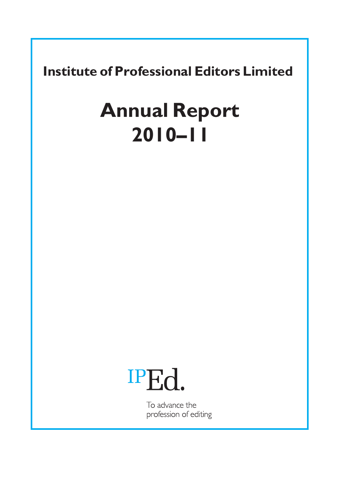**Institute of Professional Editors Limited** 

# **Annual Report 2010–11**



To advance the profession of editing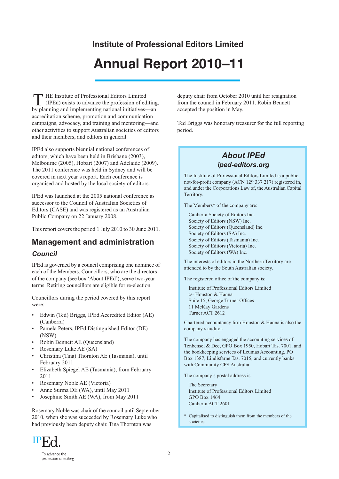## **Institute of Professional Editors Limited**

## **Annual Report 2010–11**

HE Institute of Professional Editors Limited THE Institute of Professional Editors Limited<br>
(IPEd) exists to advance the profession of editing,<br>
Nu planning and implementing national initiatives. by planning and implementing national initiatives—an accreditation scheme, promotion and communication campaigns, advocacy, and training and mentoring—and other activities to support Australian societies of editors and their members, and editors in general.

IPEd also supports biennial national conferences of editors, which have been held in Brisbane (2003), Melbourne (2005), Hobart (2007) and Adelaide (2009). The 2011 conference was held in Sydney and will be covered in next year's report. Each conference is organised and hosted by the local society of editors.

IPEd was launched at the 2005 national conference as successor to the Council of Australian Societies of Editors (CASE) and was registered as an Australian Public Company on 22 January 2008.

This report covers the period 1 July 2010 to 30 June 2011.

### **Management and administration**  *Council*

IPEd is governed by a council comprising one nominee of each of the Members. Councillors, who are the directors of the company (see box 'About IPEd'), serve two-year terms. Retiring councillors are eligible for re-election.

Councillors during the period covered by this report were:

- Edwin (Ted) Briggs, IPEd Accredited Editor (AE) (Canberra)
- Pamela Peters, IPEd Distinguished Editor (DE) (NSW)
- Robin Bennett AE (Queensland)
- Rosemary Luke AE (SA)
- Christina (Tina) Thornton AE (Tasmania), until February 2011
- Elizabeth Spiegel AE (Tasmania), from February 2011
- Rosemary Noble AE (Victoria)
- Anne Surma DE (WA), until May 2011
- Josephine Smith AE (WA), from May 2011

Rosemary Noble was chair of the council until September 2010, when she was succeeded by Rosemary Luke who had previously been deputy chair. Tina Thornton was

deputy chair from October 2010 until her resignation from the council in February 2011. Robin Bennett accepted the position in May.

Ted Briggs was honorary treasurer for the full reporting period.

### *About IPEd iped-editors.org*

The Institute of Professional Editors Limited is a public, not-for-profit company (ACN 129 337 217) registered in, and under the Corporations Law of, the Australian Capital Territory.

The Members\* of the company are:

Canberra Society of Editors Inc. Society of Editors (NSW) Inc. Society of Editors (Queensland) Inc. Society of Editors (SA) Inc. Society of Editors (Tasmania) Inc. Society of Editors (Victoria) Inc. Society of Editors (WA) Inc.

The interests of editors in the Northern Territory are attended to by the South Australian society.

The registered office of the company is:

Institute of Professional Editors Limited c/- Houston & Hanna Suite 15, George Turner Offices 11 McKay Gardens Turner ACT 2612

Chartered accountancy firm Houston & Hanna is also the company's auditor.

The company has engaged the accounting services of Tenbensel & Dee, GPO Box 1950, Hobart Tas. 7001, and the bookkeeping services of Leumas Accounting, PO Box 1387, Lindisfarne Tas. 7015, and currently banks with Community CPS Australia.

The company's postal address is:

The Secretary Institute of Professional Editors Limited GPO Box 1464 Canberra ACT 2601

Capitalised to distinguish them from the members of the societies

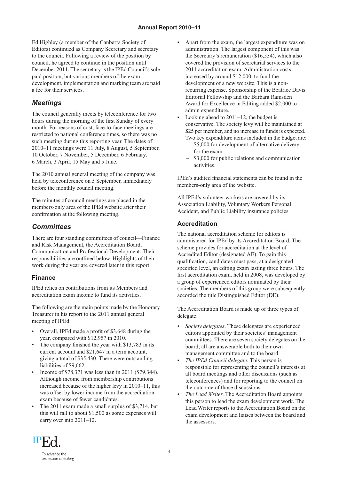Ed Highley (a member of the Canberra Society of Editors) continued as Company Secretary and secretary to the council. Following a review of the position by council, he agreed to continue in the position until December 2011. The secretary is the IPEd Council's sole paid position, but various members of the exam development, implementation and marking team are paid a fee for their services,

### *Meetings*

The council generally meets by teleconference for two hours during the morning of the first Sunday of every month. For reasons of cost, face-to-face meetings are restricted to national conference times, so there was no such meeting during this reporting year. The dates of 2010–11 meetings were 11 July, 8 August, 5 September, 10 October, 7 November, 5 December, 6 February, 6 March, 3 April, 15 May and 5 June.

The 2010 annual general meeting of the company was held by teleconference on 5 September, immediately before the monthly council meeting.

The minutes of council meetings are placed in the members-only area of the IPEd website after their confirmation at the following meeting.

### *Committees*

There are four standing committees of council—Finance and Risk Management, the Accreditation Board, Communication and Professional Development. Their responsibilities are outlined below. Highlights of their work during the year are covered later in this report.

### **Finance**

IPEd relies on contributions from its Members and accreditation exam income to fund its activities.

The following are the main points made by the Honorary Treasurer in his report to the 2011 annual general meeting of IPEd:

- Overall, IPEd made a profit of \$3,648 during the year, compared with \$12,957 in 2010.
- The company finished the year with \$13,783 in its current account and \$21,647 in a term account, giving a total of \$35,430. There were outstanding liabilities of \$9,662.
- Income of \$78,371 was less than in 2011 (\$79,344). Although income from membership contributions increased because of the higher levy in 2010–11, this was offset by lower income from the accreditation exam because of fewer candidates.
- The 2011 exam made a small surplus of \$3,714, but this will fall to about \$1,500 as some expenses will carry over into 2011–12.
- Apart from the exam, the largest expenditure was on administration. The largest component of this was the Secretary's remuneration (\$16,534), which also covered the provision of secretarial services to the 2011 accreditation exam. Administration costs increased by around \$12,000, to fund the development of a new website. This is a nonrecurring expense. Sponsorship of the Beatrice Davis Editorial Fellowship and the Barbara Ramsden Award for Excellence in Editing added \$2,000 to admin expenditure.
- Looking ahead to  $2011-12$ , the budget is conservative. The society levy will be maintained at \$25 per member, and no increase in funds is expected. Two key expenditure items included in the budget are:
	- \$5,000 for development of alternative delivery for the exam
	- \$3,000 for public relations and communication activities.

IPEd's audited financial statements can be found in the members-only area of the website.

All IPEd's volunteer workers are covered by its Association Liability, Voluntary Workers Personal Accident, and Public Liability insurance policies.

### **Accreditation**

The national accreditation scheme for editors is administered for IPEd by its Accreditation Board. The scheme provides for accreditation at the level of Accredited Editor (designated AE). To gain this qualification, candidates must pass, at a designated specified level, an editing exam lasting three hours. The first accreditation exam, held in 2008, was developed by a group of experienced editors nominated by their societies. The members of this group were subsequently accorded the title Distinguished Editor (DE).

The Accreditation Board is made up of three types of delegate:

- *Society delegates*. These delegates are experienced editors appointed by their societies' management committees. There are seven society delegates on the board; all are answerable both to their own management committee and to the board.
- *The IPEd Council delegate*. This person is responsible for representing the council's interests at all board meetings and other discussions (such as teleconferences) and for reporting to the council on the outcome of those discussions.
- *The Lead Writer*. The Accreditation Board appoints this person to lead the exam development work. The Lead Writer reports to the Accreditation Board on the exam development and liaises between the board and the assessors.

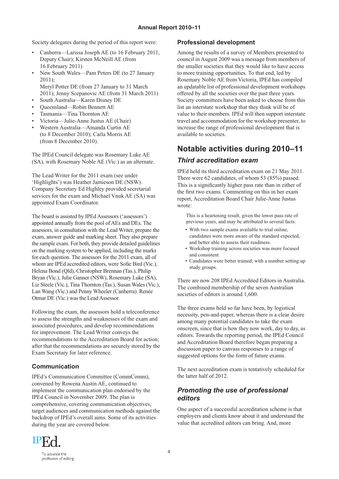Society delegates during the period of this report were:

- Canberra—Larissa Joseph AE (to 16 February 2011, Deputy Chair); Kirsten McNeill AE (from 16 February 2011)
- New South Wales—Pam Peters DE (to 27 January 2011); Meryl Potter DE (from 27 January to 31 March
- 2011); Jenny Scepanovic AE (from 31 March 2011)
- South Australia—Karen Disney DE
- Queensland—Robin Bennett AE
- Tasmania—Tina Thornton AE
- Victoria—Julie-Anne Justus AE (Chair)
- Western Australia—Amanda Curtin AE (to 8 December 2010); Carla Morris AE (from 8 December 2010).

The IPEd Council delegate was Rosemary Luke AE (SA), with Rosemary Noble AE (Vic.) as an alternate.

The Lead Writer for the 2011 exam (see under 'Highlights') was Heather Jamieson DE (NSW). Company Secretary Ed Highley provided secretarial services for the exam and Michael Vnuk AE (SA) was appointed Exam Coordinator.

The board is assisted by IPEd Assessors ('assessors') appointed annually from the pool of AEs and DEs. The assessors, in consultation with the Lead Writer, prepare the exam, answer guide and marking sheet. They also prepare the sample exam. For both, they provide detailed guidelines on the marking system to be applied, including the marks for each question. The assessors for the 2011 exam, all of whom are IPEd accredited editors, were Sofie Bird (Vic.), Helena Bond (Qld), Christopher Brennan (Tas.), Philip Bryan (Vic.), Julie Ganner (NSW), Rosemary Luke (SA), Liz Steele (Vic.), Tina Thornton (Tas.), Susan Wales (Vic.), Lan Wang (Vic.) and Penny Wheeler (Canberra). Renée Otmar DE (Vic.) was the Lead Assessor.

Following the exam, the assessors hold a teleconference to assess the strengths and weaknesses of the exam and associated procedures, and develop recommendations for improvement. The Lead Writer conveys the recommendations to the Accreditation Board for action; after that the recommendations are securely stored by the Exam Secretary for later reference.

#### **Communication**

IPEd's Communication Committee (CommComm), convened by Rowena Austin AE, continued to implement the communication plan endorsed by the IPEd Council in November 2009. The plan is comprehensive, covering communication objectives, target audiences and communication methods against the backdrop of IPEd's overall aims. Some of its activities during the year are covered below.

### **Professional development**

Among the results of a survey of Members presented to council in August 2009 was a message from members of the smaller societies that they would like to have access to more training opportunities. To that end, led by Rosemary Noble AE from Victoria, IPEd has compiled an updatable list of professional development workshops offered by all the societies over the past three years. Society committees have been asked to choose from this list an interstate workshop that they think will be of value to their members. IPEd will then support interstate travel and accommodation for the workshop presenter, to increase the range of professional development that is available to societies.

### **Notable activities during 2010–11** *Third accreditation exam*

IPEd held its third accreditation exam on 21 May 2011. There were 62 candidates, of whom 53 (85%) passed. This is a significantly higher pass rate than in either of the first two exams. Commenting on this in her exam report, Accreditation Board Chair Julie-Anne Justus wrote:

This is a heartening result, given the lower pass rate of previous years, and may be attributed to several facts:

- With two sample exams available to trial online, candidates were more aware of the standard expected, and better able to assess their readiness.
- Workshop training across societies was more focused and consistent.
- Candidates were better trained, with a number setting up study groups.

There are now 208 IPEd Accredited Editors in Australia. The combined membership of the seven Australian societies of editors is around 1,600.

The three exams held so far have been, by logistical necessity, pen-and-paper, whereas there is a clear desire among many potential candidates to take the exam onscreen, since that is how they now work, day to day, as editors. Towards the reporting period, the IPEd Council and Accreditation Board therefore began preparing a discussion paper to canvass responses to a range of suggested options for the form of future exams.

The next accreditation exam is tentatively scheduled for the latter half of 2012.

### *Promoting the use of professional editors*

One aspect of a successful accreditation scheme is that employers and clients know about it and understand the value that accredited editors can bring. And, more

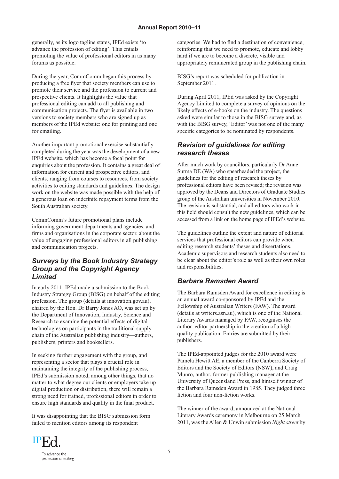generally, as its logo tagline states, IPEd exists 'to advance the profession of editing'. This entails promoting the value of professional editors in as many forums as possible.

During the year, CommComm began this process by producing a free flyer that society members can use to promote their service and the profession to current and prospective clients. It highlights the value that professional editing can add to all publishing and communication projects. The flyer is available in two versions to society members who are signed up as members of the IPEd website: one for printing and one for emailing.

Another important promotional exercise substantially completed during the year was the development of a new IPEd website, which has become a focal point for enquiries about the profession. It contains a great deal of information for current and prospective editors, and clients, ranging from courses to resources, from society activities to editing standards and guidelines. The design work on the website was made possible with the help of a generous loan on indefinite repayment terms from the South Australian society.

CommComm's future promotional plans include informing government departments and agencies, and firms and organisations in the corporate sector, about the value of engaging professional editors in all publishing and communication projects.

### *Surveys by the Book Industry Strategy Group and the Copyright Agency Limited*

In early 2011, IPEd made a submission to the Book Industry Strategy Group (BISG) on behalf of the editing profession. The group (details at innovation.gov.au), chaired by the Hon. Dr Barry Jones AO, was set up by the Department of Innovation, Industry, Science and Research to examine the potential effects of digital technologies on participants in the traditional supply chain of the Australian publishing industry—authors, publishers, printers and booksellers.

In seeking further engagement with the group, and representing a sector that plays a crucial role in maintaining the integrity of the publishing process, IPEd's submission noted, among other things, that no matter to what degree our clients or employers take up digital production or distribution, there will remain a strong need for trained, professional editors in order to ensure high standards and quality in the final product.

It was disappointing that the BISG submission form failed to mention editors among its respondent

categories. We had to find a destination of convenience, reinforcing that we need to promote, educate and lobby hard if we are to become a discrete, visible and appropriately remunerated group in the publishing chain.

BISG's report was scheduled for publication in September 2011.

During April 2011, IPEd was asked by the Copyright Agency Limited to complete a survey of opinions on the likely effects of e-books on the industry. The questions asked were similar to those in the BISG survey and, as with the BISG survey, 'Editor' was not one of the many specific categories to be nominated by respondents.

### *Revision of guidelines for editing research theses*

After much work by councillors, particularly Dr Anne Surma DE (WA) who spearheaded the project, the guidelines for the editing of research theses by professional editors have been revised; the revision was approved by the Deans and Directors of Graduate Studies group of the Australian universities in November 2010. The revision is substantial, and all editors who work in this field should consult the new guidelines, which can be accessed from a link on the home page of IPEd's website.

The guidelines outline the extent and nature of editorial services that professional editors can provide when editing research students' theses and dissertations. Academic supervisors and research students also need to be clear about the editor's role as well as their own roles and responsibilities.

### *Barbara Ramsden Award*

The Barbara Ramsden Award for excellence in editing is an annual award co-sponsored by IPEd and the Fellowship of Australian Writers (FAW). The award (details at writers.asn.au), which is one of the National Literary Awards managed by FAW, recognises the author–editor partnership in the creation of a highquality publication. Entries are submitted by their publishers.

The IPEd-appointed judges for the 2010 award were Pamela Hewitt AE, a member of the Canberra Society of Editors and the Society of Editors (NSW), and Craig Munro, author, former publishing manager at the University of Queensland Press, and himself winner of the Barbara Ramsden Award in 1985. They judged three fiction and four non-fiction works.

The winner of the award, announced at the National Literary Awards ceremony in Melbourne on 25 March 2011, was the Allen & Unwin submission *Night street* by